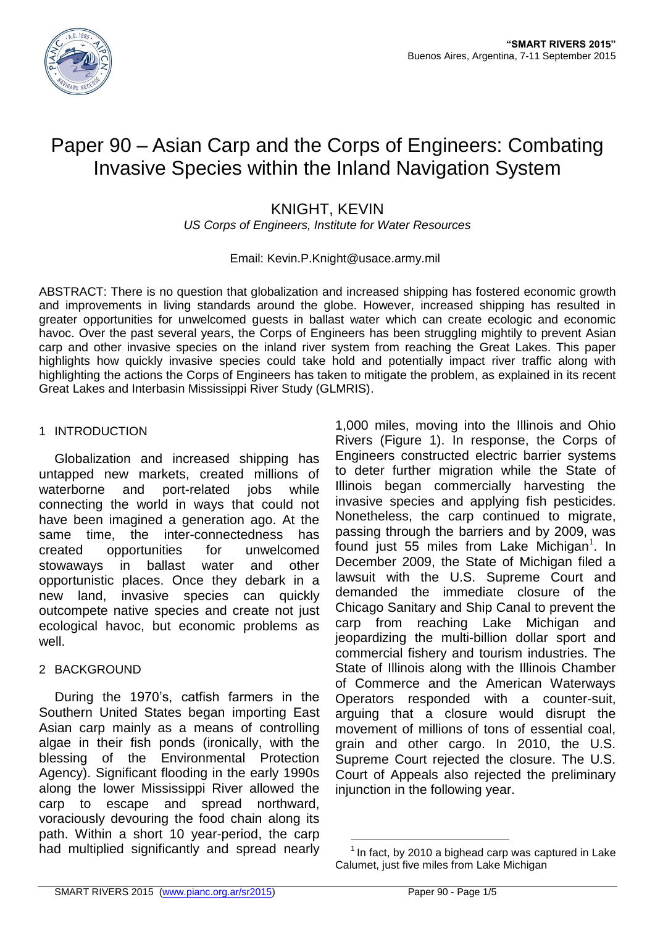

# Paper 90 – Asian Carp and the Corps of Engineers: Combating Invasive Species within the Inland Navigation System

# KNIGHT, KEVIN

*US Corps of Engineers, Institute for Water Resources*

# Email: Kevin.P.Knight@usace.army.mil

ABSTRACT: There is no question that globalization and increased shipping has fostered economic growth and improvements in living standards around the globe. However, increased shipping has resulted in greater opportunities for unwelcomed guests in ballast water which can create ecologic and economic havoc. Over the past several years, the Corps of Engineers has been struggling mightily to prevent Asian carp and other invasive species on the inland river system from reaching the Great Lakes. This paper highlights how quickly invasive species could take hold and potentially impact river traffic along with highlighting the actions the Corps of Engineers has taken to mitigate the problem, as explained in its recent Great Lakes and Interbasin Mississippi River Study (GLMRIS).

#### 1 INTRODUCTION

Globalization and increased shipping has untapped new markets, created millions of waterborne and port-related jobs while connecting the world in ways that could not have been imagined a generation ago. At the same time, the inter-connectedness has created opportunities for unwelcomed stowaways in ballast water and other opportunistic places. Once they debark in a new land, invasive species can quickly outcompete native species and create not just ecological havoc, but economic problems as well.

# 2 BACKGROUND

During the 1970's, catfish farmers in the Southern United States began importing East Asian carp mainly as a means of controlling algae in their fish ponds (ironically, with the blessing of the Environmental Protection Agency). Significant flooding in the early 1990s along the lower Mississippi River allowed the carp to escape and spread northward, voraciously devouring the food chain along its path. Within a short 10 year-period, the carp had multiplied significantly and spread nearly

1,000 miles, moving into the Illinois and Ohio Rivers (Figure 1). In response, the Corps of Engineers constructed electric barrier systems to deter further migration while the State of Illinois began commercially harvesting the invasive species and applying fish pesticides. Nonetheless, the carp continued to migrate, passing through the barriers and by 2009, was found just 55 miles from Lake Michigan $<sup>1</sup>$ . In</sup> December 2009, the State of Michigan filed a lawsuit with the U.S. Supreme Court and demanded the immediate closure of the Chicago Sanitary and Ship Canal to prevent the carp from reaching Lake Michigan and jeopardizing the multi-billion dollar sport and commercial fishery and tourism industries. The State of Illinois along with the Illinois Chamber of Commerce and the American Waterways Operators responded with a counter-suit, arguing that a closure would disrupt the movement of millions of tons of essential coal, grain and other cargo. In 2010, the U.S. Supreme Court rejected the closure. The U.S. Court of Appeals also rejected the preliminary injunction in the following year.

1

 $1$  In fact, by 2010 a bighead carp was captured in Lake Calumet, just five miles from Lake Michigan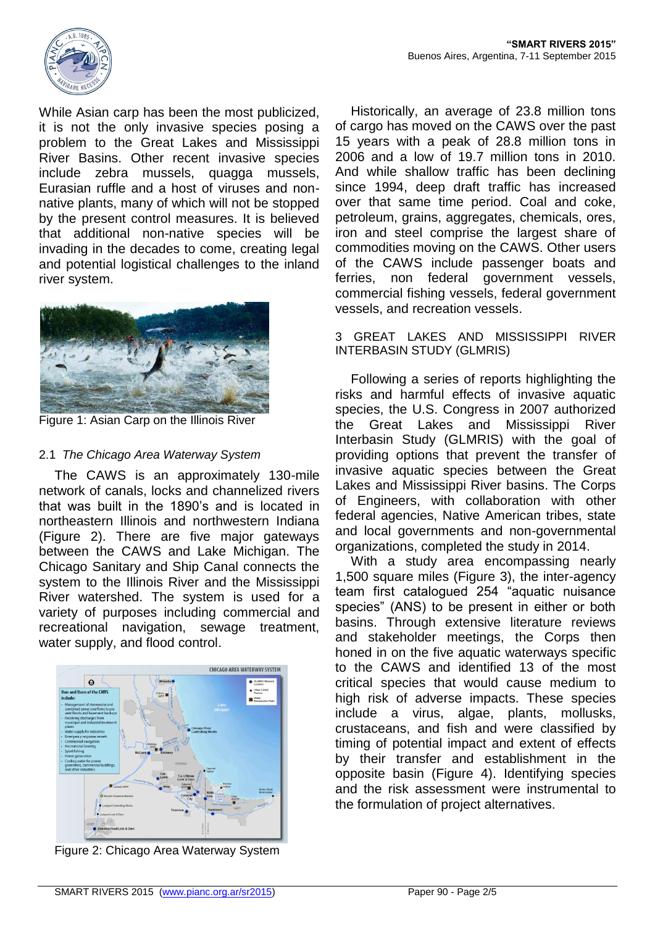

While Asian carp has been the most publicized, it is not the only invasive species posing a problem to the Great Lakes and Mississippi River Basins. Other recent invasive species include zebra mussels, quagga mussels, Eurasian ruffle and a host of viruses and nonnative plants, many of which will not be stopped by the present control measures. It is believed that additional non-native species will be invading in the decades to come, creating legal and potential logistical challenges to the inland river system.



Figure 1: Asian Carp on the Illinois River

#### 2.1 *The Chicago Area Waterway System*

The CAWS is an approximately 130-mile network of canals, locks and channelized rivers that was built in the 1890's and is located in northeastern Illinois and northwestern Indiana (Figure 2). There are five major gateways between the CAWS and Lake Michigan. The Chicago Sanitary and Ship Canal connects the system to the Illinois River and the Mississippi River watershed. The system is used for a variety of purposes including commercial and recreational navigation, sewage treatment, water supply, and flood control.



Figure 2: Chicago Area Waterway System

Historically, an average of 23.8 million tons of cargo has moved on the CAWS over the past 15 years with a peak of 28.8 million tons in 2006 and a low of 19.7 million tons in 2010. And while shallow traffic has been declining since 1994, deep draft traffic has increased over that same time period. Coal and coke, petroleum, grains, aggregates, chemicals, ores, iron and steel comprise the largest share of commodities moving on the CAWS. Other users of the CAWS include passenger boats and ferries, non federal government vessels, commercial fishing vessels, federal government vessels, and recreation vessels.

#### 3 GREAT LAKES AND MISSISSIPPI RIVER INTERBASIN STUDY (GLMRIS)

Following a series of reports highlighting the risks and harmful effects of invasive aquatic species, the U.S. Congress in 2007 authorized the Great Lakes and Mississippi River Interbasin Study (GLMRIS) with the goal of providing options that prevent the transfer of invasive aquatic species between the Great Lakes and Mississippi River basins. The Corps of Engineers, with collaboration with other federal agencies, Native American tribes, state and local governments and non-governmental organizations, completed the study in 2014.

With a study area encompassing nearly 1,500 square miles (Figure 3), the inter-agency team first catalogued 254 "aquatic nuisance species" (ANS) to be present in either or both basins. Through extensive literature reviews and stakeholder meetings, the Corps then honed in on the five aquatic waterways specific to the CAWS and identified 13 of the most critical species that would cause medium to high risk of adverse impacts. These species include a virus, algae, plants, mollusks, crustaceans, and fish and were classified by timing of potential impact and extent of effects by their transfer and establishment in the opposite basin (Figure 4). Identifying species and the risk assessment were instrumental to the formulation of project alternatives.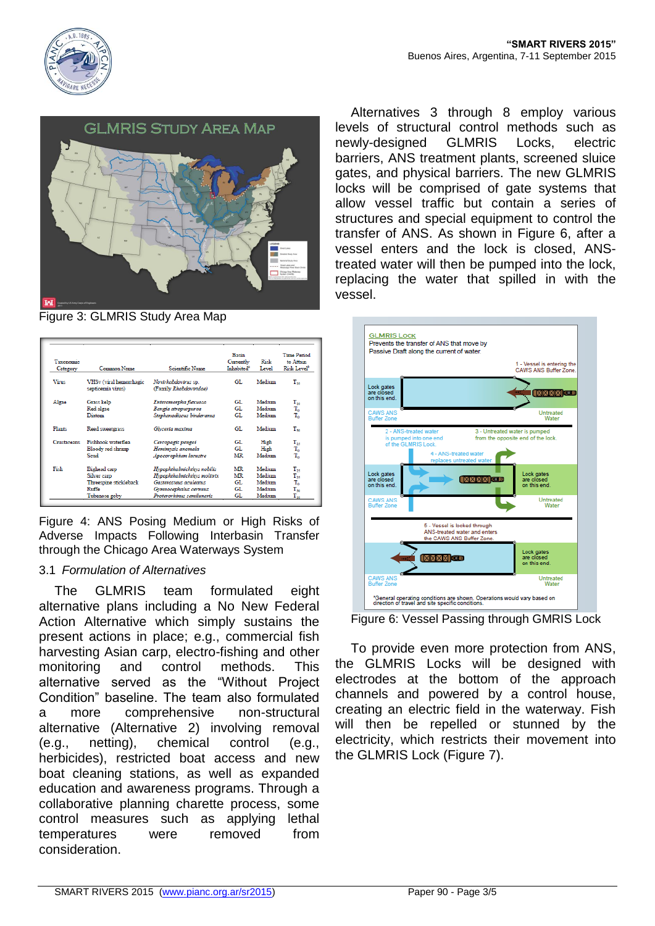





Figure 3: GLMRIS Study Area Map

| Taxonomic<br>Category | Common Name                                  | Scientific Name                               | Basin<br>Currently<br>Inhabited <sup>8</sup> | Risk<br>Level | <b>Time Period</b><br>to Attain<br>Risk Level <sup>b</sup> |
|-----------------------|----------------------------------------------|-----------------------------------------------|----------------------------------------------|---------------|------------------------------------------------------------|
| <b>Virus</b>          | VHSv (viral hemorrhagic<br>septicemia virus) | Novirhabdovirus sp.<br>(Family Rhabdoviridae) | GL.                                          | Medium        | $T_{10}$                                                   |
| Algae                 | Grass kelp                                   | Enteromorpha flexuosa                         | GT.                                          | Medium        | $T_{10}$                                                   |
|                       | Red algae                                    | Bangia atropurpurea                           | GL                                           | Medium        | $\rm T_{o}$                                                |
|                       | Diatom                                       | Stephanodiscus binderanus                     | GL                                           | Medium        | T.                                                         |
| <b>Plants</b>         | Reed sweetgrass                              | Glyceria maxima                               | GL                                           | Medium        | $T_{so}$                                                   |
| Crustaceans           | Fishhook waterflea                           | Cercopagis pengoi                             | GL.                                          | High          | $\rm T_{25}$                                               |
|                       | Bloody red shrimp                            | Hemimysis anomala                             | GL.                                          | High          | $\rm T_{o}$                                                |
|                       | Send                                         | Apocorophium lacustre                         | <b>MR</b>                                    | Medium        | T.                                                         |
| Fish                  | Bighead carp                                 | Hypophthalmichthys nobilis                    | MR                                           | Medium        | $T_{25}$                                                   |
|                       | Silver carp                                  | Hypophthalmichthys molitrix                   | MR                                           | Medium        | $T_{25}$                                                   |
|                       | Threespine stickleback                       | Gasterosteus aculeatus                        | GL.                                          | Medium        | T.                                                         |
|                       | $Ru$ ffe                                     | Gymnocephalus cernuus                         | GL                                           | Medium        | $T_{\infty}$                                               |
|                       | Tubenose goby                                | Proterorhinus semilunaris                     | GL                                           | Medium        | т.,                                                        |

Figure 4: ANS Posing Medium or High Risks of Adverse Impacts Following Interbasin Transfer through the Chicago Area Waterways System

#### 3.1 *Formulation of Alternatives*

The GLMRIS team formulated eight alternative plans including a No New Federal Action Alternative which simply sustains the present actions in place; e.g., commercial fish harvesting Asian carp, electro-fishing and other monitoring and control methods. This alternative served as the "Without Project Condition" baseline. The team also formulated a more comprehensive non-structural alternative (Alternative 2) involving removal (e.g., netting), chemical control (e.g., herbicides), restricted boat access and new boat cleaning stations, as well as expanded education and awareness programs. Through a collaborative planning charette process, some control measures such as applying lethal temperatures were removed from consideration.

Alternatives 3 through 8 employ various levels of structural control methods such as newly-designed GLMRIS Locks, electric barriers, ANS treatment plants, screened sluice gates, and physical barriers. The new GLMRIS locks will be comprised of gate systems that allow vessel traffic but contain a series of structures and special equipment to control the transfer of ANS. As shown in Figure 6, after a vessel enters and the lock is closed, ANStreated water will then be pumped into the lock, replacing the water that spilled in with the vessel.



Figure 6: Vessel Passing through GMRIS Lock

To provide even more protection from ANS, the GLMRIS Locks will be designed with electrodes at the bottom of the approach channels and powered by a control house, creating an electric field in the waterway. Fish will then be repelled or stunned by the electricity, which restricts their movement into the GLMRIS Lock (Figure 7).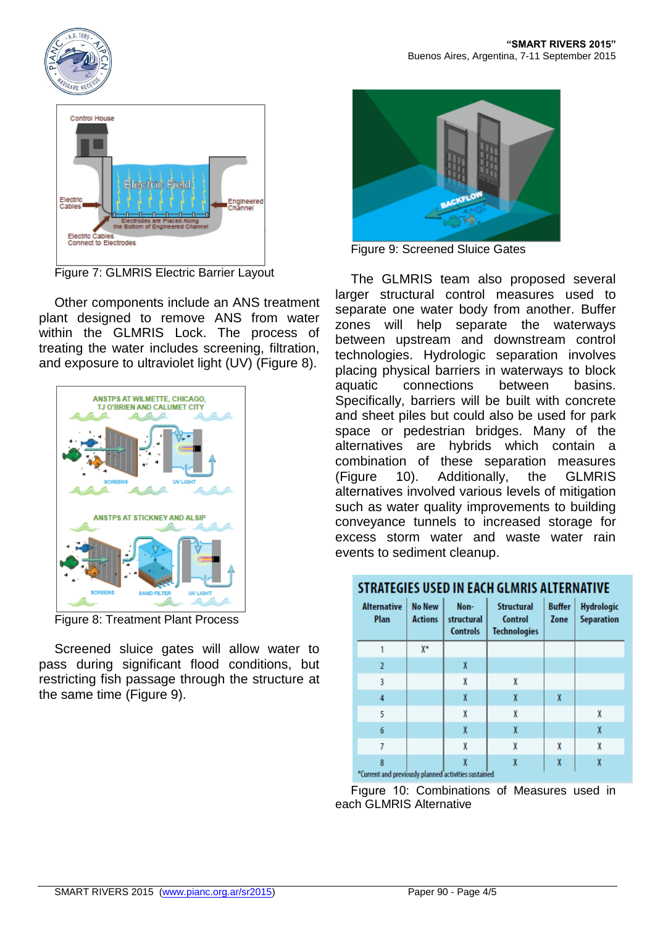



Figure 7: GLMRIS Electric Barrier Layout

Other components include an ANS treatment plant designed to remove ANS from water within the GLMRIS Lock. The process of treating the water includes screening, filtration, and exposure to ultraviolet light (UV) (Figure 8).



Figure 8: Treatment Plant Process

Screened sluice gates will allow water to pass during significant flood conditions, but restricting fish passage through the structure at the same time (Figure 9).



Figure 9: Screened Sluice Gates

The GLMRIS team also proposed several larger structural control measures used to separate one water body from another. Buffer zones will help separate the waterways between upstream and downstream control technologies. Hydrologic separation involves placing physical barriers in waterways to block aquatic connections between basins. Specifically, barriers will be built with concrete and sheet piles but could also be used for park space or pedestrian bridges. Many of the alternatives are hybrids which contain a combination of these separation measures (Figure 10). Additionally, the GLMRIS alternatives involved various levels of mitigation such as water quality improvements to building conveyance tunnels to increased storage for excess storm water and waste water rain events to sediment cleanup.

# **STRATEGIES USED IN EACH GLMRIS ALTERNATIVE**

| <b>Alternative</b><br>Plan                           | <b>No New</b><br><b>Actions</b> | Non-<br>structural<br><b>Controls</b> | <b>Structural</b><br>Control<br><b>Technologies</b> | <b>Buffer</b><br>Zone | <b>Hydrologic</b><br><b>Separation</b> |  |  |  |  |
|------------------------------------------------------|---------------------------------|---------------------------------------|-----------------------------------------------------|-----------------------|----------------------------------------|--|--|--|--|
|                                                      | X*                              |                                       |                                                     |                       |                                        |  |  |  |  |
| $\overline{2}$                                       |                                 | X                                     |                                                     |                       |                                        |  |  |  |  |
| 3                                                    |                                 | X                                     | X                                                   |                       |                                        |  |  |  |  |
| 4                                                    |                                 | X                                     | X                                                   | X                     |                                        |  |  |  |  |
| 5                                                    |                                 | X                                     | X                                                   |                       | X                                      |  |  |  |  |
| 6                                                    |                                 | X                                     | X                                                   |                       | X                                      |  |  |  |  |
| 7                                                    |                                 | X                                     | X                                                   | X                     | X                                      |  |  |  |  |
| 8                                                    |                                 | X                                     | X                                                   | X                     | X                                      |  |  |  |  |
| "Current and previously planned activities sustained |                                 |                                       |                                                     |                       |                                        |  |  |  |  |

Fıgure 10: Combinations of Measures used in each GLMRIS Alternative